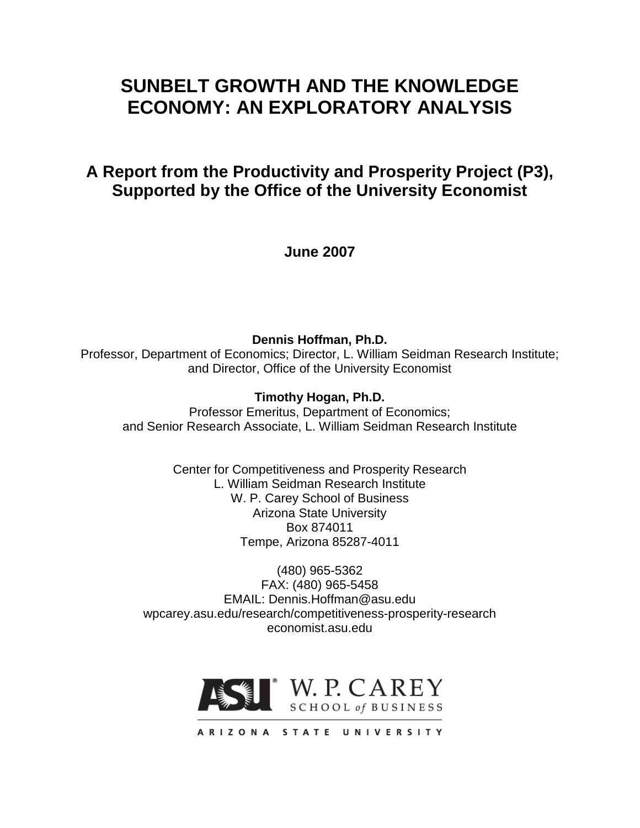# **SUNBELT GROWTH AND THE KNOWLEDGE ECONOMY: AN EXPLORATORY ANALYSIS**

## **A Report from the Productivity and Prosperity Project (P3), Supported by the Office of the University Economist**

**June 2007**

**Dennis Hoffman, Ph.D.** Professor, Department of Economics; Director, L. William Seidman Research Institute; and Director, Office of the University Economist

## **Timothy Hogan, Ph.D.**

Professor Emeritus, Department of Economics; and Senior Research Associate, L. William Seidman Research Institute

> Center for Competitiveness and Prosperity Research L. William Seidman Research Institute W. P. Carey School of Business Arizona State University Box 874011 Tempe, Arizona 85287-4011

(480) 965-5362 FAX: (480) 965-5458 EMAIL: Dennis.Hoffman@asu.edu wpcarey.asu.edu/research/competitiveness-prosperity-research economist.asu.edu



ARIZONA STATE UNIVERSITY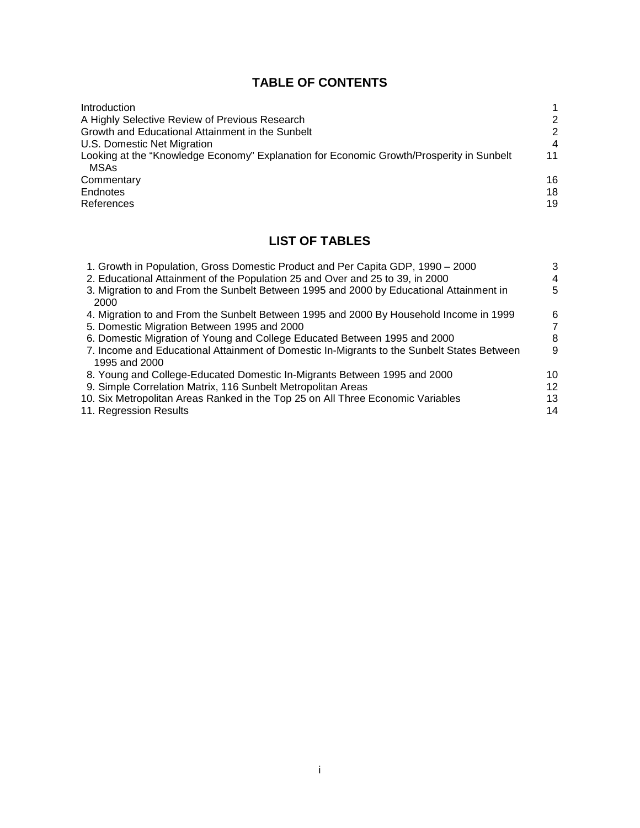## **TABLE OF CONTENTS**

| Introduction                                                                             |                  |
|------------------------------------------------------------------------------------------|------------------|
| A Highly Selective Review of Previous Research                                           | 2                |
| Growth and Educational Attainment in the Sunbelt                                         | 2                |
| U.S. Domestic Net Migration                                                              | $\boldsymbol{4}$ |
| Looking at the "Knowledge Economy" Explanation for Economic Growth/Prosperity in Sunbelt | 11               |
| MSAs                                                                                     |                  |
| Commentary                                                                               | 16               |
| Endnotes                                                                                 | 18               |
| References                                                                               | 19               |

## **LIST OF TABLES**

| 1. Growth in Population, Gross Domestic Product and Per Capita GDP, 1990 - 2000            | 3  |
|--------------------------------------------------------------------------------------------|----|
| 2. Educational Attainment of the Population 25 and Over and 25 to 39, in 2000              | 4  |
| 3. Migration to and From the Sunbelt Between 1995 and 2000 by Educational Attainment in    | 5  |
| 2000                                                                                       |    |
| 4. Migration to and From the Sunbelt Between 1995 and 2000 By Household Income in 1999     | 6  |
| 5. Domestic Migration Between 1995 and 2000                                                | 7  |
| 6. Domestic Migration of Young and College Educated Between 1995 and 2000                  | 8  |
| 7. Income and Educational Attainment of Domestic In-Migrants to the Sunbelt States Between | 9  |
| 1995 and 2000                                                                              |    |
| 8. Young and College-Educated Domestic In-Migrants Between 1995 and 2000                   | 10 |
| 9. Simple Correlation Matrix, 116 Sunbelt Metropolitan Areas                               | 12 |
| 10. Six Metropolitan Areas Ranked in the Top 25 on All Three Economic Variables            | 13 |
| 11. Regression Results                                                                     | 14 |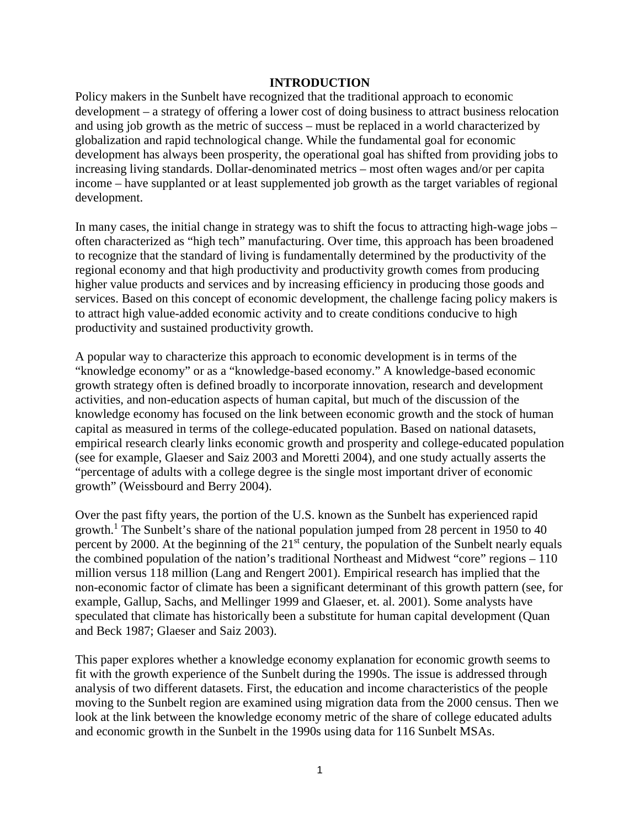#### **INTRODUCTION**

Policy makers in the Sunbelt have recognized that the traditional approach to economic development – a strategy of offering a lower cost of doing business to attract business relocation and using job growth as the metric of success – must be replaced in a world characterized by globalization and rapid technological change. While the fundamental goal for economic development has always been prosperity, the operational goal has shifted from providing jobs to increasing living standards. Dollar-denominated metrics – most often wages and/or per capita income – have supplanted or at least supplemented job growth as the target variables of regional development.

In many cases, the initial change in strategy was to shift the focus to attracting high-wage jobs – often characterized as "high tech" manufacturing. Over time, this approach has been broadened to recognize that the standard of living is fundamentally determined by the productivity of the regional economy and that high productivity and productivity growth comes from producing higher value products and services and by increasing efficiency in producing those goods and services. Based on this concept of economic development, the challenge facing policy makers is to attract high value-added economic activity and to create conditions conducive to high productivity and sustained productivity growth.

A popular way to characterize this approach to economic development is in terms of the "knowledge economy" or as a "knowledge-based economy." A knowledge-based economic growth strategy often is defined broadly to incorporate innovation, research and development activities, and non-education aspects of human capital, but much of the discussion of the knowledge economy has focused on the link between economic growth and the stock of human capital as measured in terms of the college-educated population. Based on national datasets, empirical research clearly links economic growth and prosperity and college-educated population (see for example, Glaeser and Saiz 2003 and Moretti 2004), and one study actually asserts the "percentage of adults with a college degree is the single most important driver of economic growth" (Weissbourd and Berry 2004).

Over the past fifty years, the portion of the U.S. known as the Sunbelt has experienced rapid growth.<sup>1</sup> The Sunbelt's share of the national population jumped from 28 percent in 1950 to 40 percent by 2000. At the beginning of the  $21<sup>st</sup>$  century, the population of the Sunbelt nearly equals the combined population of the nation's traditional Northeast and Midwest "core" regions – 110 million versus 118 million (Lang and Rengert 2001). Empirical research has implied that the non-economic factor of climate has been a significant determinant of this growth pattern (see, for example, Gallup, Sachs, and Mellinger 1999 and Glaeser, et. al. 2001). Some analysts have speculated that climate has historically been a substitute for human capital development (Quan and Beck 1987; Glaeser and Saiz 2003).

This paper explores whether a knowledge economy explanation for economic growth seems to fit with the growth experience of the Sunbelt during the 1990s. The issue is addressed through analysis of two different datasets. First, the education and income characteristics of the people moving to the Sunbelt region are examined using migration data from the 2000 census. Then we look at the link between the knowledge economy metric of the share of college educated adults and economic growth in the Sunbelt in the 1990s using data for 116 Sunbelt MSAs.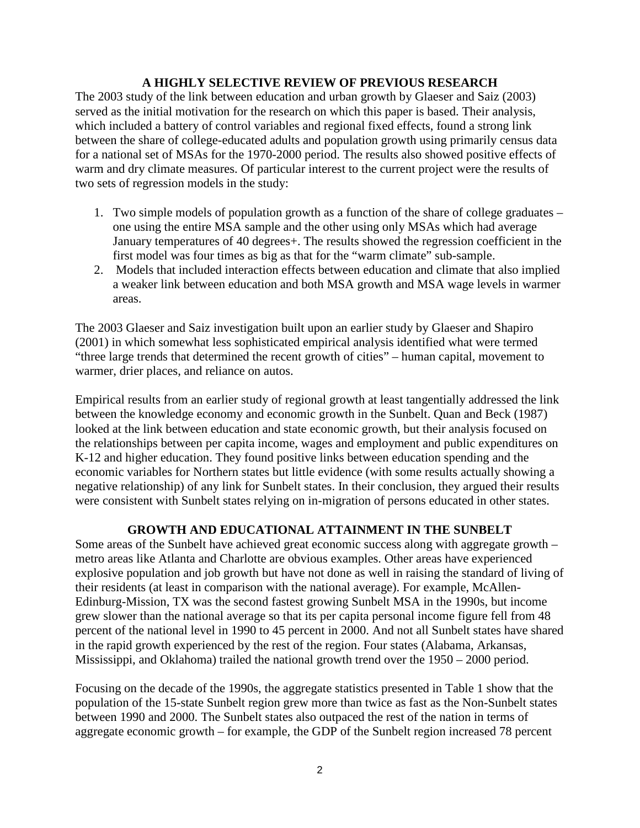#### **A HIGHLY SELECTIVE REVIEW OF PREVIOUS RESEARCH**

The 2003 study of the link between education and urban growth by Glaeser and Saiz (2003) served as the initial motivation for the research on which this paper is based. Their analysis, which included a battery of control variables and regional fixed effects, found a strong link between the share of college-educated adults and population growth using primarily census data for a national set of MSAs for the 1970-2000 period. The results also showed positive effects of warm and dry climate measures. Of particular interest to the current project were the results of two sets of regression models in the study:

- 1. Two simple models of population growth as a function of the share of college graduates one using the entire MSA sample and the other using only MSAs which had average January temperatures of 40 degrees+. The results showed the regression coefficient in the first model was four times as big as that for the "warm climate" sub-sample.
- 2. Models that included interaction effects between education and climate that also implied a weaker link between education and both MSA growth and MSA wage levels in warmer areas.

The 2003 Glaeser and Saiz investigation built upon an earlier study by Glaeser and Shapiro (2001) in which somewhat less sophisticated empirical analysis identified what were termed "three large trends that determined the recent growth of cities" – human capital, movement to warmer, drier places, and reliance on autos.

Empirical results from an earlier study of regional growth at least tangentially addressed the link between the knowledge economy and economic growth in the Sunbelt. Quan and Beck (1987) looked at the link between education and state economic growth, but their analysis focused on the relationships between per capita income, wages and employment and public expenditures on K-12 and higher education. They found positive links between education spending and the economic variables for Northern states but little evidence (with some results actually showing a negative relationship) of any link for Sunbelt states. In their conclusion, they argued their results were consistent with Sunbelt states relying on in-migration of persons educated in other states.

### **GROWTH AND EDUCATIONAL ATTAINMENT IN THE SUNBELT**

Some areas of the Sunbelt have achieved great economic success along with aggregate growth – metro areas like Atlanta and Charlotte are obvious examples. Other areas have experienced explosive population and job growth but have not done as well in raising the standard of living of their residents (at least in comparison with the national average). For example, McAllen-Edinburg-Mission, TX was the second fastest growing Sunbelt MSA in the 1990s, but income grew slower than the national average so that its per capita personal income figure fell from 48 percent of the national level in 1990 to 45 percent in 2000. And not all Sunbelt states have shared in the rapid growth experienced by the rest of the region. Four states (Alabama, Arkansas, Mississippi, and Oklahoma) trailed the national growth trend over the 1950 – 2000 period.

Focusing on the decade of the 1990s, the aggregate statistics presented in Table 1 show that the population of the 15-state Sunbelt region grew more than twice as fast as the Non-Sunbelt states between 1990 and 2000. The Sunbelt states also outpaced the rest of the nation in terms of aggregate economic growth – for example, the GDP of the Sunbelt region increased 78 percent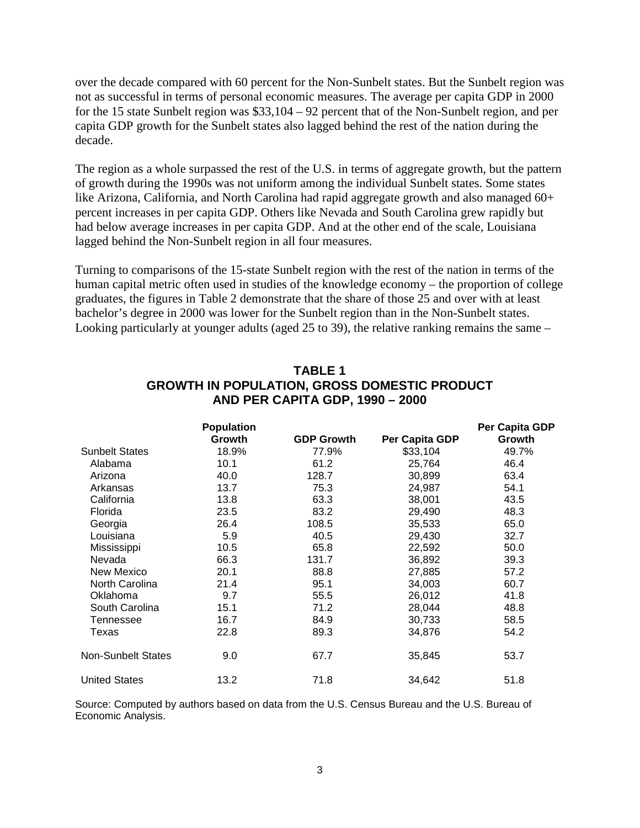over the decade compared with 60 percent for the Non-Sunbelt states. But the Sunbelt region was not as successful in terms of personal economic measures. The average per capita GDP in 2000 for the 15 state Sunbelt region was \$33,104 – 92 percent that of the Non-Sunbelt region, and per capita GDP growth for the Sunbelt states also lagged behind the rest of the nation during the decade.

The region as a whole surpassed the rest of the U.S. in terms of aggregate growth, but the pattern of growth during the 1990s was not uniform among the individual Sunbelt states. Some states like Arizona, California, and North Carolina had rapid aggregate growth and also managed 60+ percent increases in per capita GDP. Others like Nevada and South Carolina grew rapidly but had below average increases in per capita GDP. And at the other end of the scale, Louisiana lagged behind the Non-Sunbelt region in all four measures.

Turning to comparisons of the 15-state Sunbelt region with the rest of the nation in terms of the human capital metric often used in studies of the knowledge economy – the proportion of college graduates, the figures in Table 2 demonstrate that the share of those 25 and over with at least bachelor's degree in 2000 was lower for the Sunbelt region than in the Non-Sunbelt states. Looking particularly at younger adults (aged 25 to 39), the relative ranking remains the same –

|                           | <b>Population</b> |                   |                | Per Capita GDP |
|---------------------------|-------------------|-------------------|----------------|----------------|
|                           | Growth            | <b>GDP Growth</b> | Per Capita GDP | Growth         |
| <b>Sunbelt States</b>     | 18.9%             | 77.9%             | \$33,104       | 49.7%          |
| Alabama                   | 10.1              | 61.2              | 25,764         | 46.4           |
| Arizona                   | 40.0              | 128.7             | 30,899         | 63.4           |
| Arkansas                  | 13.7              | 75.3              | 24,987         | 54.1           |
| California                | 13.8              | 63.3              | 38,001         | 43.5           |
| Florida                   | 23.5              | 83.2              | 29,490         | 48.3           |
| Georgia                   | 26.4              | 108.5             | 35,533         | 65.0           |
| Louisiana                 | 5.9               | 40.5              | 29,430         | 32.7           |
| Mississippi               | 10.5              | 65.8              | 22,592         | 50.0           |
| Nevada                    | 66.3              | 131.7             | 36,892         | 39.3           |
| New Mexico                | 20.1              | 88.8              | 27,885         | 57.2           |
| North Carolina            | 21.4              | 95.1              | 34,003         | 60.7           |
| Oklahoma                  | 9.7               | 55.5              | 26,012         | 41.8           |
| South Carolina            | 15.1              | 71.2              | 28,044         | 48.8           |
| Tennessee                 | 16.7              | 84.9              | 30,733         | 58.5           |
| Texas                     | 22.8              | 89.3              | 34,876         | 54.2           |
| <b>Non-Sunbelt States</b> | 9.0               | 67.7              | 35,845         | 53.7           |
| <b>United States</b>      | 13.2              | 71.8              | 34,642         | 51.8           |

## **TABLE 1 GROWTH IN POPULATION, GROSS DOMESTIC PRODUCT AND PER CAPITA GDP, 1990 – 2000**

Source: Computed by authors based on data from the U.S. Census Bureau and the U.S. Bureau of Economic Analysis.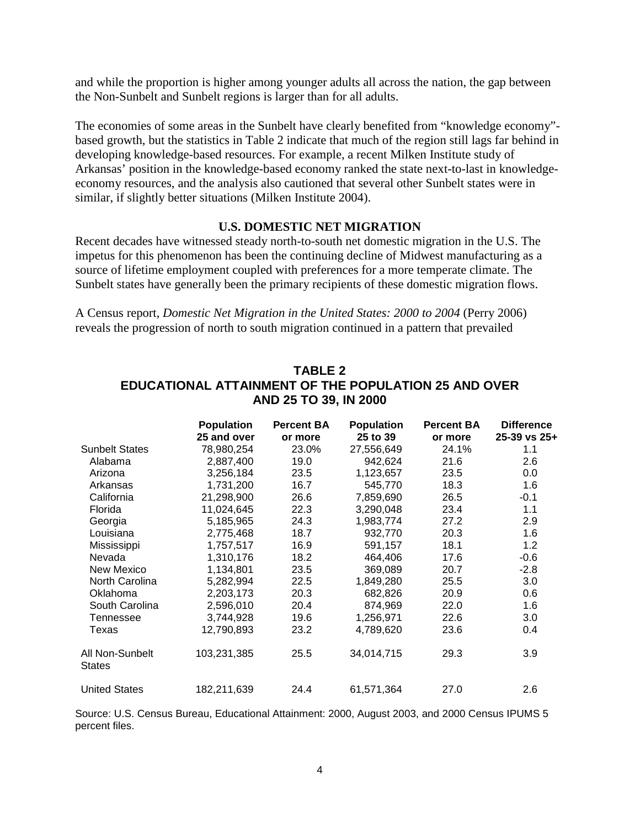and while the proportion is higher among younger adults all across the nation, the gap between the Non-Sunbelt and Sunbelt regions is larger than for all adults.

The economies of some areas in the Sunbelt have clearly benefited from "knowledge economy" based growth, but the statistics in Table 2 indicate that much of the region still lags far behind in developing knowledge-based resources. For example, a recent Milken Institute study of Arkansas' position in the knowledge-based economy ranked the state next-to-last in knowledgeeconomy resources, and the analysis also cautioned that several other Sunbelt states were in similar, if slightly better situations (Milken Institute 2004).

### **U.S. DOMESTIC NET MIGRATION**

Recent decades have witnessed steady north-to-south net domestic migration in the U.S. The impetus for this phenomenon has been the continuing decline of Midwest manufacturing as a source of lifetime employment coupled with preferences for a more temperate climate. The Sunbelt states have generally been the primary recipients of these domestic migration flows.

A Census report, *Domestic Net Migration in the United States: 2000 to 2004* (Perry 2006) reveals the progression of north to south migration continued in a pattern that prevailed

|                           | <b>Population</b> | <b>Percent BA</b> | <b>Population</b> | <b>Percent BA</b> | <b>Difference</b> |
|---------------------------|-------------------|-------------------|-------------------|-------------------|-------------------|
|                           | 25 and over       | or more           | 25 to 39          | or more           | 25-39 vs 25+      |
| <b>Sunbelt States</b>     | 78,980,254        | 23.0%             | 27,556,649        | 24.1%             | 1.1               |
| Alabama                   | 2,887,400         | 19.0              | 942,624           | 21.6              | 2.6               |
| Arizona                   | 3,256,184         | 23.5              | 1,123,657         | 23.5              | 0.0               |
| Arkansas                  | 1,731,200         | 16.7              | 545,770           | 18.3              | 1.6               |
| California                | 21,298,900        | 26.6              | 7,859,690         | 26.5              | $-0.1$            |
| Florida                   | 11,024,645        | 22.3              | 3,290,048         | 23.4              | 1.1               |
| Georgia                   | 5,185,965         | 24.3              | 1,983,774         | 27.2              | 2.9               |
| Louisiana                 | 2,775,468         | 18.7              | 932,770           | 20.3              | 1.6               |
| Mississippi               | 1,757,517         | 16.9              | 591,157           | 18.1              | 1.2               |
| Nevada                    | 1,310,176         | 18.2              | 464,406           | 17.6              | $-0.6$            |
| New Mexico                | 1,134,801         | 23.5              | 369,089           | 20.7              | $-2.8$            |
| North Carolina            | 5,282,994         | 22.5              | 1,849,280         | 25.5              | 3.0               |
| Oklahoma                  | 2,203,173         | 20.3              | 682,826           | 20.9              | 0.6               |
| South Carolina            | 2,596,010         | 20.4              | 874,969           | 22.0              | 1.6               |
| Tennessee                 | 3,744,928         | 19.6              | 1,256,971         | 22.6              | 3.0               |
| Texas                     | 12,790,893        | 23.2              | 4,789,620         | 23.6              | 0.4               |
| All Non-Sunbelt<br>States | 103,231,385       | 25.5              | 34,014,715        | 29.3              | 3.9               |
| <b>United States</b>      | 182,211,639       | 24.4              | 61,571,364        | 27.0              | 2.6               |

## **TABLE 2 EDUCATIONAL ATTAINMENT OF THE POPULATION 25 AND OVER AND 25 TO 39, IN 2000**

Source: U.S. Census Bureau, Educational Attainment: 2000, August 2003, and 2000 Census IPUMS 5 percent files.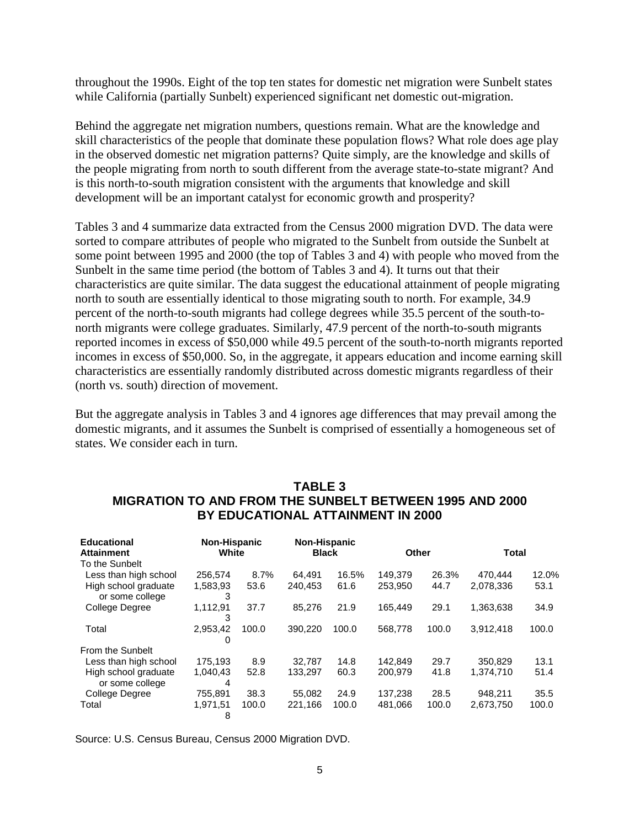throughout the 1990s. Eight of the top ten states for domestic net migration were Sunbelt states while California (partially Sunbelt) experienced significant net domestic out-migration.

Behind the aggregate net migration numbers, questions remain. What are the knowledge and skill characteristics of the people that dominate these population flows? What role does age play in the observed domestic net migration patterns? Quite simply, are the knowledge and skills of the people migrating from north to south different from the average state-to-state migrant? And is this north-to-south migration consistent with the arguments that knowledge and skill development will be an important catalyst for economic growth and prosperity?

Tables 3 and 4 summarize data extracted from the Census 2000 migration DVD. The data were sorted to compare attributes of people who migrated to the Sunbelt from outside the Sunbelt at some point between 1995 and 2000 (the top of Tables 3 and 4) with people who moved from the Sunbelt in the same time period (the bottom of Tables 3 and 4). It turns out that their characteristics are quite similar. The data suggest the educational attainment of people migrating north to south are essentially identical to those migrating south to north. For example, 34.9 percent of the north-to-south migrants had college degrees while 35.5 percent of the south-tonorth migrants were college graduates. Similarly, 47.9 percent of the north-to-south migrants reported incomes in excess of \$50,000 while 49.5 percent of the south-to-north migrants reported incomes in excess of \$50,000. So, in the aggregate, it appears education and income earning skill characteristics are essentially randomly distributed across domestic migrants regardless of their (north vs. south) direction of movement.

But the aggregate analysis in Tables 3 and 4 ignores age differences that may prevail among the domestic migrants, and it assumes the Sunbelt is comprised of essentially a homogeneous set of states. We consider each in turn.

## **TABLE 3 MIGRATION TO AND FROM THE SUNBELT BETWEEN 1995 AND 2000 BY EDUCATIONAL ATTAINMENT IN 2000**

| <b>Educational</b><br><b>Attainment</b><br>To the Sunbelt | Non-Hispanic<br>White |              | <b>Non-Hispanic</b><br><b>Black</b> |               | Other              |               | <b>Total</b>         |               |
|-----------------------------------------------------------|-----------------------|--------------|-------------------------------------|---------------|--------------------|---------------|----------------------|---------------|
| Less than high school<br>High school graduate             | 256.574<br>1,583,93   | 8.7%<br>53.6 | 64.491<br>240.453                   | 16.5%<br>61.6 | 149.379<br>253.950 | 26.3%<br>44.7 | 470.444<br>2.078.336 | 12.0%<br>53.1 |
| or some college                                           | 3                     |              |                                     |               |                    |               |                      |               |
| College Degree                                            | 1,112,91<br>3         | 37.7         | 85.276                              | 21.9          | 165.449            | 29.1          | 1,363,638            | 34.9          |
| Total                                                     | 2,953,42<br>0         | 100.0        | 390.220                             | 100.0         | 568,778            | 100.0         | 3,912,418            | 100.0         |
| From the Sunbelt                                          |                       |              |                                     |               |                    |               |                      |               |
| Less than high school                                     | 175.193               | 8.9          | 32.787                              | 14.8          | 142.849            | 29.7          | 350.829              | 13.1          |
| High school graduate<br>or some college                   | 1,040,43<br>4         | 52.8         | 133.297                             | 60.3          | 200.979            | 41.8          | 1,374,710            | 51.4          |
| College Degree                                            | 755,891               | 38.3         | 55.082                              | 24.9          | 137.238            | 28.5          | 948.211              | 35.5          |
| Total                                                     | 1,971,51<br>8         | 100.0        | 221,166                             | 100.0         | 481.066            | 100.0         | 2,673,750            | 100.0         |

Source: U.S. Census Bureau, Census 2000 Migration DVD.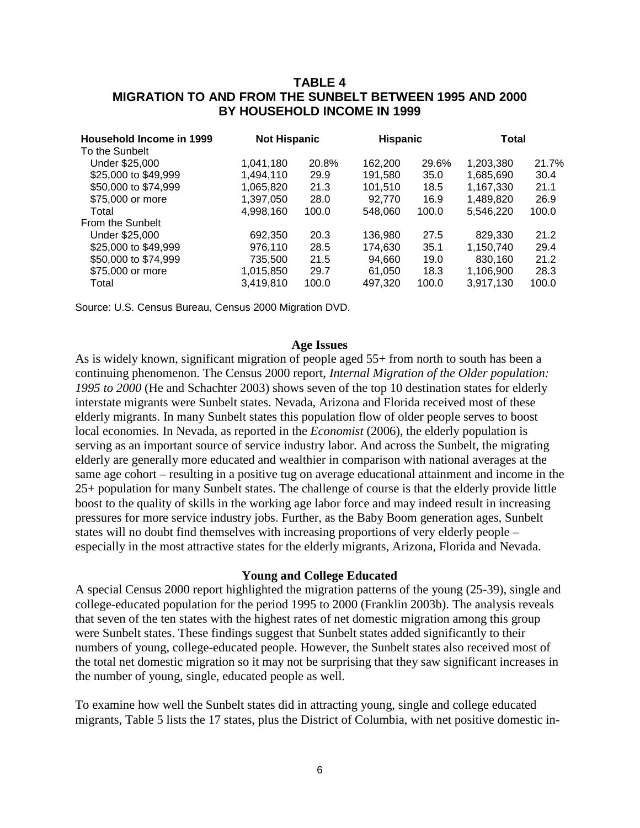## **TABLE 4 MIGRATION TO AND FROM THE SUNBELT BETWEEN 1995 AND 2000 BY HOUSEHOLD INCOME IN 1999**

| Household Income in 1999<br>To the Sunbelt | <b>Not Hispanic</b> |       | <b>Hispanic</b> |       | Total     |       |
|--------------------------------------------|---------------------|-------|-----------------|-------|-----------|-------|
| Under \$25,000                             | 1,041,180           | 20.8% | 162,200         | 29.6% | 1,203,380 | 21.7% |
| \$25,000 to \$49,999                       | 1,494,110           | 29.9  | 191,580         | 35.0  | 1,685,690 | 30.4  |
| \$50,000 to \$74,999                       | 1,065,820           | 21.3  | 101,510         | 18.5  | 1,167,330 | 21.1  |
| \$75,000 or more                           | 1,397,050           | 28.0  | 92.770          | 16.9  | 1.489.820 | 26.9  |
| Total                                      | 4,998,160           | 100.0 | 548,060         | 100.0 | 5,546,220 | 100.0 |
| From the Sunbelt                           |                     |       |                 |       |           |       |
| Under \$25,000                             | 692,350             | 20.3  | 136,980         | 27.5  | 829,330   | 21.2  |
| \$25,000 to \$49,999                       | 976.110             | 28.5  | 174.630         | 35.1  | 1,150,740 | 29.4  |
| \$50,000 to \$74,999                       | 735,500             | 21.5  | 94,660          | 19.0  | 830,160   | 21.2  |
| \$75,000 or more                           | 1,015,850           | 29.7  | 61,050          | 18.3  | 1,106,900 | 28.3  |
| Total                                      | 3,419,810           | 100.0 | 497,320         | 100.0 | 3,917,130 | 100.0 |

Source: U.S. Census Bureau, Census 2000 Migration DVD.

#### **Age Issues**

As is widely known, significant migration of people aged 55+ from north to south has been a continuing phenomenon. The Census 2000 report, *Internal Migration of the Older population: 1995 to 2000* (He and Schachter 2003) shows seven of the top 10 destination states for elderly interstate migrants were Sunbelt states. Nevada, Arizona and Florida received most of these elderly migrants. In many Sunbelt states this population flow of older people serves to boost local economies. In Nevada, as reported in the *Economist* (2006), the elderly population is serving as an important source of service industry labor. And across the Sunbelt, the migrating elderly are generally more educated and wealthier in comparison with national averages at the same age cohort – resulting in a positive tug on average educational attainment and income in the 25+ population for many Sunbelt states. The challenge of course is that the elderly provide little boost to the quality of skills in the working age labor force and may indeed result in increasing pressures for more service industry jobs. Further, as the Baby Boom generation ages, Sunbelt states will no doubt find themselves with increasing proportions of very elderly people – especially in the most attractive states for the elderly migrants, Arizona, Florida and Nevada.

#### **Young and College Educated**

A special Census 2000 report highlighted the migration patterns of the young (25-39), single and college-educated population for the period 1995 to 2000 (Franklin 2003b). The analysis reveals that seven of the ten states with the highest rates of net domestic migration among this group were Sunbelt states. These findings suggest that Sunbelt states added significantly to their numbers of young, college-educated people. However, the Sunbelt states also received most of the total net domestic migration so it may not be surprising that they saw significant increases in the number of young, single, educated people as well.

To examine how well the Sunbelt states did in attracting young, single and college educated migrants, Table 5 lists the 17 states, plus the District of Columbia, with net positive domestic in-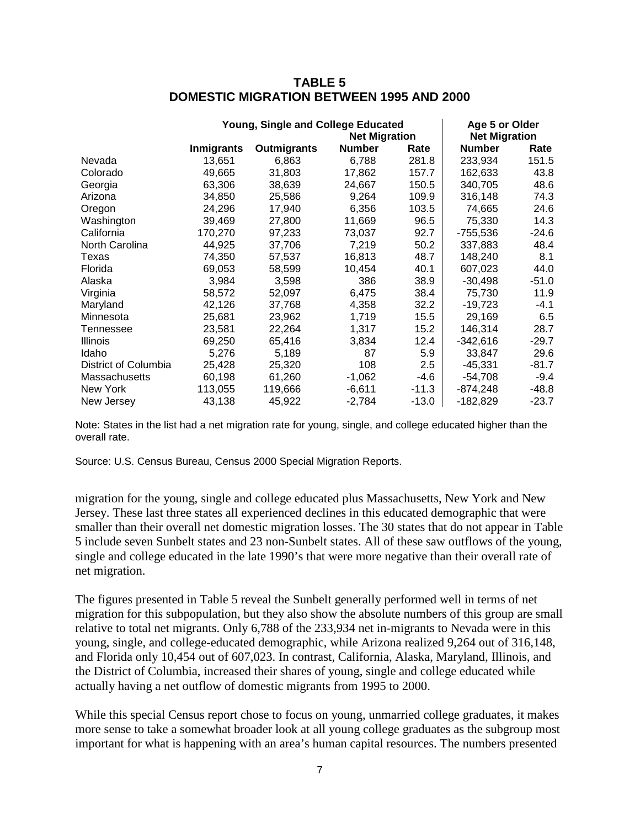| <b>TABLE 5</b>                                  |
|-------------------------------------------------|
| <b>DOMESTIC MIGRATION BETWEEN 1995 AND 2000</b> |

|                      | Young, Single and College Educated | Age 5 or Older<br><b>Net Migration</b> |               |         |               |         |
|----------------------|------------------------------------|----------------------------------------|---------------|---------|---------------|---------|
|                      | <b>Inmigrants</b>                  | <b>Outmigrants</b>                     | <b>Number</b> | Rate    | <b>Number</b> | Rate    |
| Nevada               | 13,651                             | 6,863                                  | 6,788         | 281.8   | 233,934       | 151.5   |
| Colorado             | 49,665                             | 31,803                                 | 17,862        | 157.7   | 162.633       | 43.8    |
| Georgia              | 63,306                             | 38,639                                 | 24,667        | 150.5   | 340,705       | 48.6    |
| Arizona              | 34,850                             | 25,586                                 | 9,264         | 109.9   | 316,148       | 74.3    |
| Oregon               | 24,296                             | 17,940                                 | 6,356         | 103.5   | 74,665        | 24.6    |
| Washington           | 39,469                             | 27,800                                 | 11,669        | 96.5    | 75,330        | 14.3    |
| California           | 170,270                            | 97,233                                 | 73,037        | 92.7    | $-755,536$    | $-24.6$ |
| North Carolina       | 44,925                             | 37,706                                 | 7,219         | 50.2    | 337,883       | 48.4    |
| Texas                | 74,350                             | 57,537                                 | 16,813        | 48.7    | 148,240       | 8.1     |
| Florida              | 69,053                             | 58,599                                 | 10,454        | 40.1    | 607,023       | 44.0    |
| Alaska               | 3,984                              | 3,598                                  | 386           | 38.9    | $-30.498$     | $-51.0$ |
| Virginia             | 58,572                             | 52,097                                 | 6,475         | 38.4    | 75,730        | 11.9    |
| Maryland             | 42,126                             | 37,768                                 | 4,358         | 32.2    | -19,723       | -4.1    |
| Minnesota            | 25,681                             | 23,962                                 | 1,719         | 15.5    | 29.169        | 6.5     |
| Tennessee            | 23,581                             | 22,264                                 | 1,317         | 15.2    | 146,314       | 28.7    |
| Illinois             | 69,250                             | 65,416                                 | 3,834         | 12.4    | $-342,616$    | $-29.7$ |
| Idaho                | 5,276                              | 5,189                                  | 87            | 5.9     | 33.847        | 29.6    |
| District of Columbia | 25,428                             | 25,320                                 | 108           | 2.5     | -45,331       | $-81.7$ |
| Massachusetts        | 60,198                             | 61,260                                 | $-1,062$      | $-4.6$  | $-54,708$     | $-9.4$  |
| New York             | 113,055                            | 119,666                                | $-6,611$      | $-11.3$ | $-874,248$    | $-48.8$ |
| New Jersey           | 43,138                             | 45,922                                 | $-2,784$      | $-13.0$ | $-182,829$    | $-23.7$ |

Note: States in the list had a net migration rate for young, single, and college educated higher than the overall rate.

Source: U.S. Census Bureau, Census 2000 Special Migration Reports.

migration for the young, single and college educated plus Massachusetts, New York and New Jersey. These last three states all experienced declines in this educated demographic that were smaller than their overall net domestic migration losses. The 30 states that do not appear in Table 5 include seven Sunbelt states and 23 non-Sunbelt states. All of these saw outflows of the young, single and college educated in the late 1990's that were more negative than their overall rate of net migration.

The figures presented in Table 5 reveal the Sunbelt generally performed well in terms of net migration for this subpopulation, but they also show the absolute numbers of this group are small relative to total net migrants. Only 6,788 of the 233,934 net in-migrants to Nevada were in this young, single, and college-educated demographic, while Arizona realized 9,264 out of 316,148, and Florida only 10,454 out of 607,023. In contrast, California, Alaska, Maryland, Illinois, and the District of Columbia, increased their shares of young, single and college educated while actually having a net outflow of domestic migrants from 1995 to 2000.

While this special Census report chose to focus on young, unmarried college graduates, it makes more sense to take a somewhat broader look at all young college graduates as the subgroup most important for what is happening with an area's human capital resources. The numbers presented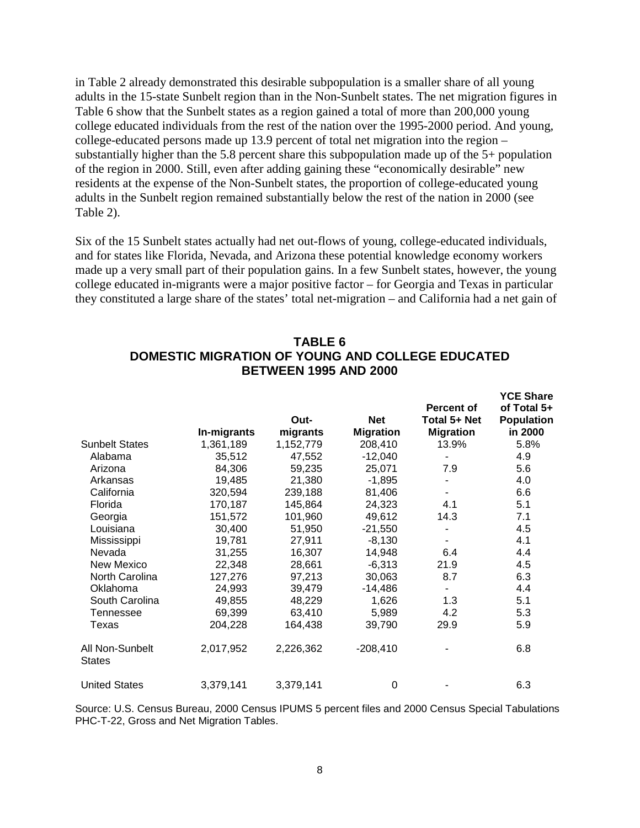in Table 2 already demonstrated this desirable subpopulation is a smaller share of all young adults in the 15-state Sunbelt region than in the Non-Sunbelt states. The net migration figures in Table 6 show that the Sunbelt states as a region gained a total of more than 200,000 young college educated individuals from the rest of the nation over the 1995-2000 period. And young, college-educated persons made up 13.9 percent of total net migration into the region – substantially higher than the 5.8 percent share this subpopulation made up of the 5+ population of the region in 2000. Still, even after adding gaining these "economically desirable" new residents at the expense of the Non-Sunbelt states, the proportion of college-educated young adults in the Sunbelt region remained substantially below the rest of the nation in 2000 (see Table 2).

Six of the 15 Sunbelt states actually had net out-flows of young, college-educated individuals, and for states like Florida, Nevada, and Arizona these potential knowledge economy workers made up a very small part of their population gains. In a few Sunbelt states, however, the young college educated in-migrants were a major positive factor – for Georgia and Texas in particular they constituted a large share of the states' total net-migration – and California had a net gain of

|                                  | In-migrants | Out-<br>migrants | <b>Net</b><br><b>Migration</b> | <b>Percent of</b><br>Total 5+ Net<br><b>Migration</b> | I VL VIIGIT<br>of Total 5+<br><b>Population</b><br>in 2000 |
|----------------------------------|-------------|------------------|--------------------------------|-------------------------------------------------------|------------------------------------------------------------|
| <b>Sunbelt States</b>            | 1,361,189   | 1,152,779        | 208,410                        | 13.9%                                                 | 5.8%                                                       |
| Alabama                          | 35,512      | 47,552           | $-12,040$                      |                                                       | 4.9                                                        |
| Arizona                          | 84,306      | 59,235           | 25,071                         | 7.9                                                   | 5.6                                                        |
| Arkansas                         | 19,485      | 21,380           | $-1,895$                       |                                                       | 4.0                                                        |
| California                       | 320,594     | 239,188          | 81,406                         |                                                       | 6.6                                                        |
| Florida                          | 170,187     | 145,864          | 24,323                         | 4.1                                                   | 5.1                                                        |
| Georgia                          | 151,572     | 101,960          | 49,612                         | 14.3                                                  | 7.1                                                        |
| Louisiana                        | 30,400      | 51,950           | $-21,550$                      |                                                       | 4.5                                                        |
| Mississippi                      | 19,781      | 27,911           | $-8,130$                       |                                                       | 4.1                                                        |
| Nevada                           | 31,255      | 16,307           | 14,948                         | 6.4                                                   | 4.4                                                        |
| New Mexico                       | 22,348      | 28,661           | $-6,313$                       | 21.9                                                  | 4.5                                                        |
| North Carolina                   | 127,276     | 97,213           | 30,063                         | 8.7                                                   | 6.3                                                        |
| Oklahoma                         | 24,993      | 39,479           | $-14,486$                      |                                                       | 4.4                                                        |
| South Carolina                   | 49,855      | 48,229           | 1,626                          | 1.3                                                   | 5.1                                                        |
| Tennessee                        | 69,399      | 63,410           | 5,989                          | 4.2                                                   | 5.3                                                        |
| Texas                            | 204,228     | 164,438          | 39,790                         | 29.9                                                  | 5.9                                                        |
| All Non-Sunbelt<br><b>States</b> | 2,017,952   | 2,226,362        | $-208,410$                     |                                                       | 6.8                                                        |
| <b>United States</b>             | 3,379,141   | 3,379,141        | 0                              |                                                       | 6.3                                                        |

## **TABLE 6 DOMESTIC MIGRATION OF YOUNG AND COLLEGE EDUCATED BETWEEN 1995 AND 2000**

**YCE Share** 

Source: U.S. Census Bureau, 2000 Census IPUMS 5 percent files and 2000 Census Special Tabulations PHC-T-22, Gross and Net Migration Tables.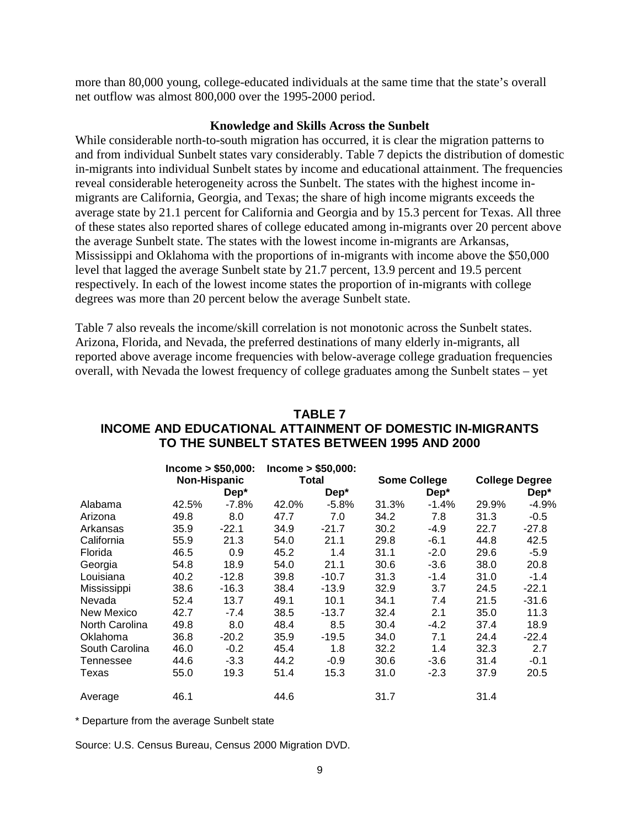more than 80,000 young, college-educated individuals at the same time that the state's overall net outflow was almost 800,000 over the 1995-2000 period.

#### **Knowledge and Skills Across the Sunbelt**

While considerable north-to-south migration has occurred, it is clear the migration patterns to and from individual Sunbelt states vary considerably. Table 7 depicts the distribution of domestic in-migrants into individual Sunbelt states by income and educational attainment. The frequencies reveal considerable heterogeneity across the Sunbelt. The states with the highest income inmigrants are California, Georgia, and Texas; the share of high income migrants exceeds the average state by 21.1 percent for California and Georgia and by 15.3 percent for Texas. All three of these states also reported shares of college educated among in-migrants over 20 percent above the average Sunbelt state. The states with the lowest income in-migrants are Arkansas, Mississippi and Oklahoma with the proportions of in-migrants with income above the \$50,000 level that lagged the average Sunbelt state by 21.7 percent, 13.9 percent and 19.5 percent respectively. In each of the lowest income states the proportion of in-migrants with college degrees was more than 20 percent below the average Sunbelt state.

Table 7 also reveals the income/skill correlation is not monotonic across the Sunbelt states. Arizona, Florida, and Nevada, the preferred destinations of many elderly in-migrants, all reported above average income frequencies with below-average college graduation frequencies overall, with Nevada the lowest frequency of college graduates among the Sunbelt states – yet

|                | Income > \$50,000: |                     |       | Income > \$50,000: |       |                     |       |                       |  |
|----------------|--------------------|---------------------|-------|--------------------|-------|---------------------|-------|-----------------------|--|
|                |                    | <b>Non-Hispanic</b> |       | Total              |       | <b>Some College</b> |       | <b>College Degree</b> |  |
|                |                    | Dep*                |       | $Dep*$             |       | $Dep*$              |       | $Dep*$                |  |
| Alabama        | 42.5%              | $-7.8\%$            | 42.0% | $-5.8%$            | 31.3% | $-1.4%$             | 29.9% | $-4.9%$               |  |
| Arizona        | 49.8               | 8.0                 | 47.7  | 7.0                | 34.2  | 7.8                 | 31.3  | $-0.5$                |  |
| Arkansas       | 35.9               | $-22.1$             | 34.9  | $-21.7$            | 30.2  | -4.9                | 22.7  | $-27.8$               |  |
| California     | 55.9               | 21.3                | 54.0  | 21.1               | 29.8  | $-6.1$              | 44.8  | 42.5                  |  |
| Florida        | 46.5               | 0.9                 | 45.2  | 1.4                | 31.1  | $-2.0$              | 29.6  | $-5.9$                |  |
| Georgia        | 54.8               | 18.9                | 54.0  | 21.1               | 30.6  | $-3.6$              | 38.0  | 20.8                  |  |
| Louisiana      | 40.2               | $-12.8$             | 39.8  | -10.7              | 31.3  | $-1.4$              | 31.0  | $-1.4$                |  |
| Mississippi    | 38.6               | $-16.3$             | 38.4  | $-13.9$            | 32.9  | 3.7                 | 24.5  | $-22.1$               |  |
| Nevada         | 52.4               | 13.7                | 49.1  | 10.1               | 34.1  | 7.4                 | 21.5  | $-31.6$               |  |
| New Mexico     | 42.7               | $-7.4$              | 38.5  | -13.7              | 32.4  | 2.1                 | 35.0  | 11.3                  |  |
| North Carolina | 49.8               | 8.0                 | 48.4  | 8.5                | 30.4  | $-4.2$              | 37.4  | 18.9                  |  |
| Oklahoma       | 36.8               | $-20.2$             | 35.9  | $-19.5$            | 34.0  | 7.1                 | 24.4  | $-22.4$               |  |
| South Carolina | 46.0               | $-0.2$              | 45.4  | 1.8                | 32.2  | 1.4                 | 32.3  | 2.7                   |  |
| Tennessee      | 44.6               | $-3.3$              | 44.2  | $-0.9$             | 30.6  | $-3.6$              | 31.4  | $-0.1$                |  |
| Texas          | 55.0               | 19.3                | 51.4  | 15.3               | 31.0  | $-2.3$              | 37.9  | 20.5                  |  |
| Average        | 46.1               |                     | 44.6  |                    | 31.7  |                     | 31.4  |                       |  |

## **TABLE 7 INCOME AND EDUCATIONAL ATTAINMENT OF DOMESTIC IN-MIGRANTS TO THE SUNBELT STATES BETWEEN 1995 AND 2000**

\* Departure from the average Sunbelt state

Source: U.S. Census Bureau, Census 2000 Migration DVD.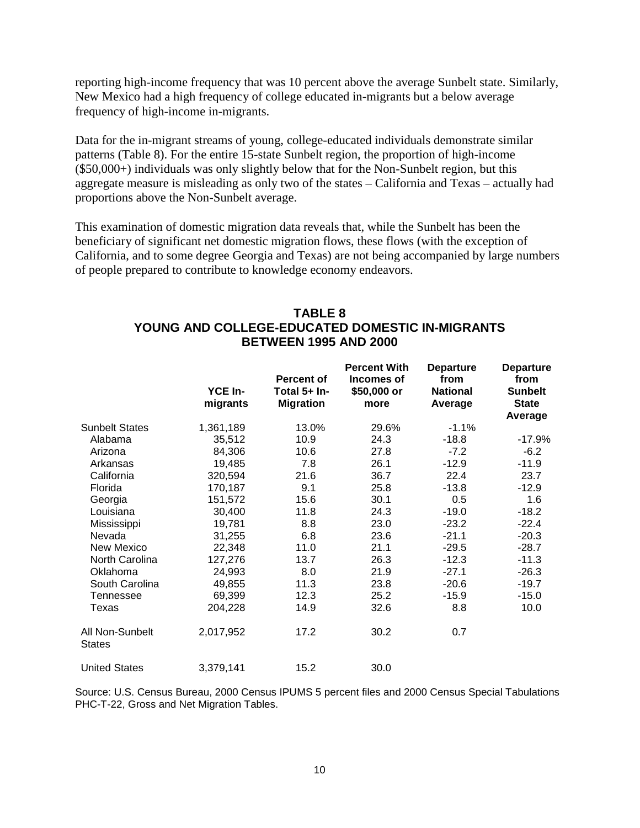reporting high-income frequency that was 10 percent above the average Sunbelt state. Similarly, New Mexico had a high frequency of college educated in-migrants but a below average frequency of high-income in-migrants.

Data for the in-migrant streams of young, college-educated individuals demonstrate similar patterns (Table 8). For the entire 15-state Sunbelt region, the proportion of high-income (\$50,000+) individuals was only slightly below that for the Non-Sunbelt region, but this aggregate measure is misleading as only two of the states – California and Texas – actually had proportions above the Non-Sunbelt average.

This examination of domestic migration data reveals that, while the Sunbelt has been the beneficiary of significant net domestic migration flows, these flows (with the exception of California, and to some degree Georgia and Texas) are not being accompanied by large numbers of people prepared to contribute to knowledge economy endeavors.

## **TABLE 8 YOUNG AND COLLEGE-EDUCATED DOMESTIC IN-MIGRANTS BETWEEN 1995 AND 2000**

|                                  | YCE In-<br>migrants | <b>Percent of</b><br>Total 5+ In-<br><b>Migration</b> | <b>Percent With</b><br>Incomes of<br>\$50,000 or<br>more | <b>Departure</b><br>from<br><b>National</b><br>Average | <b>Departure</b><br>from<br><b>Sunbelt</b><br><b>State</b><br>Average |
|----------------------------------|---------------------|-------------------------------------------------------|----------------------------------------------------------|--------------------------------------------------------|-----------------------------------------------------------------------|
| <b>Sunbelt States</b>            | 1,361,189           | 13.0%                                                 | 29.6%                                                    | $-1.1%$                                                |                                                                       |
| Alabama                          | 35,512              | 10.9                                                  | 24.3                                                     | $-18.8$                                                | $-17.9%$                                                              |
| Arizona                          | 84,306              | 10.6                                                  | 27.8                                                     | $-7.2$                                                 | $-6.2$                                                                |
| Arkansas                         | 19,485              | 7.8                                                   | 26.1                                                     | $-12.9$                                                | $-11.9$                                                               |
| California                       | 320,594             | 21.6                                                  | 36.7                                                     | 22.4                                                   | 23.7                                                                  |
| Florida                          | 170,187             | 9.1                                                   | 25.8                                                     | $-13.8$                                                | $-12.9$                                                               |
| Georgia                          | 151,572             | 15.6                                                  | 30.1                                                     | 0.5                                                    | 1.6                                                                   |
| Louisiana                        | 30,400              | 11.8                                                  | 24.3                                                     | $-19.0$                                                | $-18.2$                                                               |
| Mississippi                      | 19,781              | 8.8                                                   | 23.0                                                     | $-23.2$                                                | $-22.4$                                                               |
| Nevada                           | 31,255              | 6.8                                                   | 23.6                                                     | $-21.1$                                                | $-20.3$                                                               |
| New Mexico                       | 22,348              | 11.0                                                  | 21.1                                                     | $-29.5$                                                | $-28.7$                                                               |
| North Carolina                   | 127,276             | 13.7                                                  | 26.3                                                     | $-12.3$                                                | $-11.3$                                                               |
| Oklahoma                         | 24,993              | 8.0                                                   | 21.9                                                     | $-27.1$                                                | $-26.3$                                                               |
| South Carolina                   | 49,855              | 11.3                                                  | 23.8                                                     | $-20.6$                                                | $-19.7$                                                               |
| Tennessee                        | 69,399              | 12.3                                                  | 25.2                                                     | $-15.9$                                                | $-15.0$                                                               |
| Texas                            | 204,228             | 14.9                                                  | 32.6                                                     | 8.8                                                    | 10.0                                                                  |
| All Non-Sunbelt<br><b>States</b> | 2,017,952           | 17.2                                                  | 30.2                                                     | 0.7                                                    |                                                                       |
| <b>United States</b>             | 3,379,141           | 15.2                                                  | 30.0                                                     |                                                        |                                                                       |

Source: U.S. Census Bureau, 2000 Census IPUMS 5 percent files and 2000 Census Special Tabulations PHC-T-22, Gross and Net Migration Tables.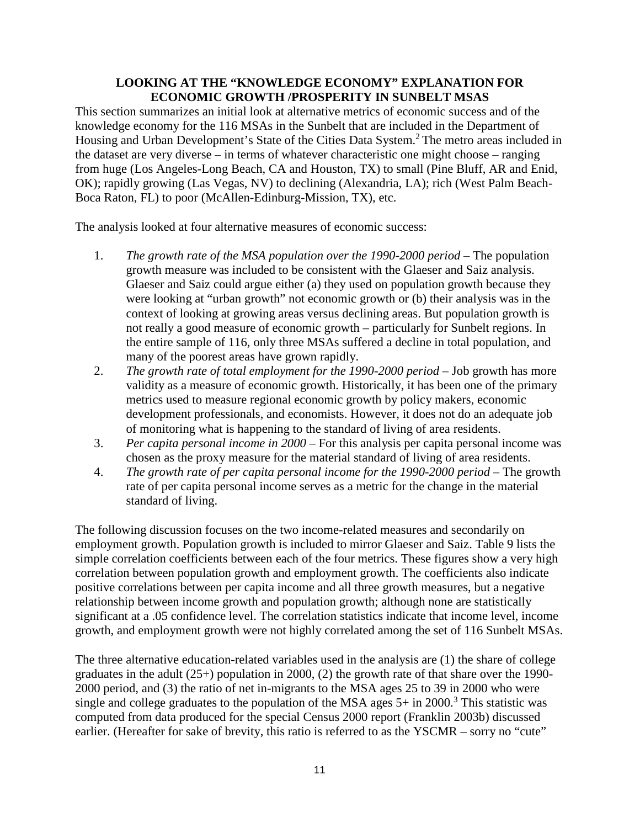## **LOOKING AT THE "KNOWLEDGE ECONOMY" EXPLANATION FOR ECONOMIC GROWTH /PROSPERITY IN SUNBELT MSAS**

This section summarizes an initial look at alternative metrics of economic success and of the knowledge economy for the 116 MSAs in the Sunbelt that are included in the Department of Housing and Urban Development's State of the Cities Data System.<sup>2</sup> The metro areas included in the dataset are very diverse – in terms of whatever characteristic one might choose – ranging from huge (Los Angeles-Long Beach, CA and Houston, TX) to small (Pine Bluff, AR and Enid, OK); rapidly growing (Las Vegas, NV) to declining (Alexandria, LA); rich (West Palm Beach-Boca Raton, FL) to poor (McAllen-Edinburg-Mission, TX), etc.

The analysis looked at four alternative measures of economic success:

- 1. *The growth rate of the MSA population over the 1990-2000 period* The population growth measure was included to be consistent with the Glaeser and Saiz analysis. Glaeser and Saiz could argue either (a) they used on population growth because they were looking at "urban growth" not economic growth or (b) their analysis was in the context of looking at growing areas versus declining areas. But population growth is not really a good measure of economic growth – particularly for Sunbelt regions. In the entire sample of 116, only three MSAs suffered a decline in total population, and many of the poorest areas have grown rapidly.
- 2. *The growth rate of total employment for the 1990-2000 period* Job growth has more validity as a measure of economic growth. Historically, it has been one of the primary metrics used to measure regional economic growth by policy makers, economic development professionals, and economists. However, it does not do an adequate job of monitoring what is happening to the standard of living of area residents.
- 3. *Per capita personal income in 2000* For this analysis per capita personal income was chosen as the proxy measure for the material standard of living of area residents.
- 4. *The growth rate of per capita personal income for the 1990-2000 period* The growth rate of per capita personal income serves as a metric for the change in the material standard of living.

The following discussion focuses on the two income-related measures and secondarily on employment growth. Population growth is included to mirror Glaeser and Saiz. Table 9 lists the simple correlation coefficients between each of the four metrics. These figures show a very high correlation between population growth and employment growth. The coefficients also indicate positive correlations between per capita income and all three growth measures, but a negative relationship between income growth and population growth; although none are statistically significant at a .05 confidence level. The correlation statistics indicate that income level, income growth, and employment growth were not highly correlated among the set of 116 Sunbelt MSAs.

The three alternative education-related variables used in the analysis are (1) the share of college graduates in the adult (25+) population in 2000, (2) the growth rate of that share over the 1990- 2000 period, and (3) the ratio of net in-migrants to the MSA ages 25 to 39 in 2000 who were single and college graduates to the population of the MSA ages  $5+$  in 2000.<sup>3</sup> This statistic was computed from data produced for the special Census 2000 report (Franklin 2003b) discussed earlier. (Hereafter for sake of brevity, this ratio is referred to as the YSCMR – sorry no "cute"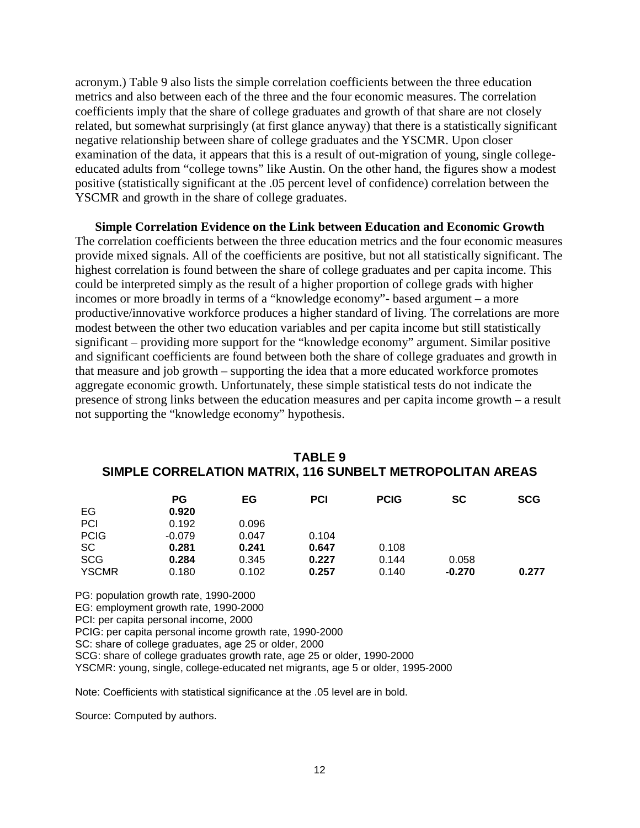acronym.) Table 9 also lists the simple correlation coefficients between the three education metrics and also between each of the three and the four economic measures. The correlation coefficients imply that the share of college graduates and growth of that share are not closely related, but somewhat surprisingly (at first glance anyway) that there is a statistically significant negative relationship between share of college graduates and the YSCMR. Upon closer examination of the data, it appears that this is a result of out-migration of young, single collegeeducated adults from "college towns" like Austin. On the other hand, the figures show a modest positive (statistically significant at the .05 percent level of confidence) correlation between the YSCMR and growth in the share of college graduates.

**Simple Correlation Evidence on the Link between Education and Economic Growth** The correlation coefficients between the three education metrics and the four economic measures provide mixed signals. All of the coefficients are positive, but not all statistically significant. The highest correlation is found between the share of college graduates and per capita income. This could be interpreted simply as the result of a higher proportion of college grads with higher incomes or more broadly in terms of a "knowledge economy"- based argument – a more productive/innovative workforce produces a higher standard of living. The correlations are more modest between the other two education variables and per capita income but still statistically significant – providing more support for the "knowledge economy" argument. Similar positive and significant coefficients are found between both the share of college graduates and growth in that measure and job growth – supporting the idea that a more educated workforce promotes aggregate economic growth. Unfortunately, these simple statistical tests do not indicate the presence of strong links between the education measures and per capita income growth – a result not supporting the "knowledge economy" hypothesis.

|              | PG       | EG    | <b>PCI</b> | <b>PCIG</b> | <b>SC</b> | <b>SCG</b> |
|--------------|----------|-------|------------|-------------|-----------|------------|
| EG           | 0.920    |       |            |             |           |            |
| PCI          | 0.192    | 0.096 |            |             |           |            |
| <b>PCIG</b>  | $-0.079$ | 0.047 | 0.104      |             |           |            |
| <b>SC</b>    | 0.281    | 0.241 | 0.647      | 0.108       |           |            |
| <b>SCG</b>   | 0.284    | 0.345 | 0.227      | 0.144       | 0.058     |            |
| <b>YSCMR</b> | 0.180    | 0.102 | 0.257      | 0.140       | $-0.270$  | 0.277      |

| TABLE 9                                                   |
|-----------------------------------------------------------|
| SIMPLE CORRELATION MATRIX, 116 SUNBELT METROPOLITAN AREAS |

PG: population growth rate, 1990-2000 EG: employment growth rate, 1990-2000

PCI: per capita personal income, 2000

PCIG: per capita personal income growth rate, 1990-2000

SC: share of college graduates, age 25 or older, 2000

SCG: share of college graduates growth rate, age 25 or older, 1990-2000

YSCMR: young, single, college-educated net migrants, age 5 or older, 1995-2000

Note: Coefficients with statistical significance at the .05 level are in bold.

Source: Computed by authors.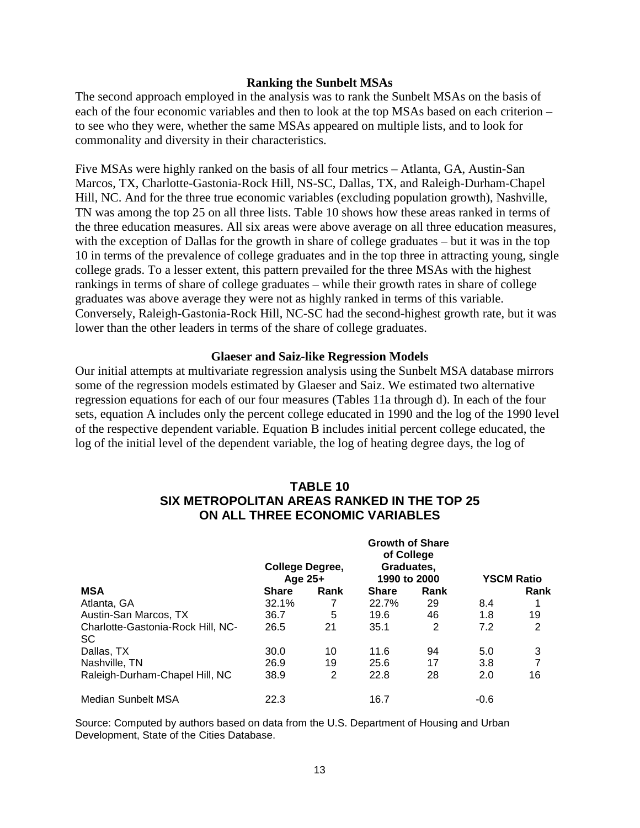#### **Ranking the Sunbelt MSAs**

The second approach employed in the analysis was to rank the Sunbelt MSAs on the basis of each of the four economic variables and then to look at the top MSAs based on each criterion – to see who they were, whether the same MSAs appeared on multiple lists, and to look for commonality and diversity in their characteristics.

Five MSAs were highly ranked on the basis of all four metrics – Atlanta, GA, Austin-San Marcos, TX, Charlotte-Gastonia-Rock Hill, NS-SC, Dallas, TX, and Raleigh-Durham-Chapel Hill, NC. And for the three true economic variables (excluding population growth), Nashville, TN was among the top 25 on all three lists. Table 10 shows how these areas ranked in terms of the three education measures. All six areas were above average on all three education measures, with the exception of Dallas for the growth in share of college graduates – but it was in the top 10 in terms of the prevalence of college graduates and in the top three in attracting young, single college grads. To a lesser extent, this pattern prevailed for the three MSAs with the highest rankings in terms of share of college graduates – while their growth rates in share of college graduates was above average they were not as highly ranked in terms of this variable. Conversely, Raleigh-Gastonia-Rock Hill, NC-SC had the second-highest growth rate, but it was lower than the other leaders in terms of the share of college graduates.

#### **Glaeser and Saiz-like Regression Models**

Our initial attempts at multivariate regression analysis using the Sunbelt MSA database mirrors some of the regression models estimated by Glaeser and Saiz. We estimated two alternative regression equations for each of our four measures (Tables 11a through d). In each of the four sets, equation A includes only the percent college educated in 1990 and the log of the 1990 level of the respective dependent variable. Equation B includes initial percent college educated, the log of the initial level of the dependent variable, the log of heating degree days, the log of

## **TABLE 10 SIX METROPOLITAN AREAS RANKED IN THE TOP 25 ON ALL THREE ECONOMIC VARIABLES**

|                                         | <b>College Degree,</b><br>Age $25+$ |      | <b>Growth of Share</b><br>of College<br>Graduates,<br>1990 to 2000 |      | <b>YSCM Ratio</b> |                |
|-----------------------------------------|-------------------------------------|------|--------------------------------------------------------------------|------|-------------------|----------------|
| <b>MSA</b>                              | <b>Share</b>                        | Rank | <b>Share</b>                                                       | Rank |                   | Rank           |
| Atlanta, GA                             | 32.1%                               |      | 22.7%                                                              | 29   | 8.4               |                |
| Austin-San Marcos, TX                   | 36.7                                | 5    | 19.6                                                               | 46   | 1.8               | 19             |
| Charlotte-Gastonia-Rock Hill, NC-<br>SC | 26.5                                | 21   | 35.1                                                               | 2    | 7.2               | $\overline{2}$ |
| Dallas, TX                              | 30.0                                | 10   | 11.6                                                               | 94   | 5.0               | 3              |
| Nashville, TN                           | 26.9                                | 19   | 25.6                                                               | 17   | 3.8               | 7              |
| Raleigh-Durham-Chapel Hill, NC          | 38.9                                | 2    | 22.8                                                               | 28   | 2.0               | 16             |
| Median Sunbelt MSA                      | 22.3                                |      | 16.7                                                               |      | $-0.6$            |                |

Source: Computed by authors based on data from the U.S. Department of Housing and Urban Development, State of the Cities Database.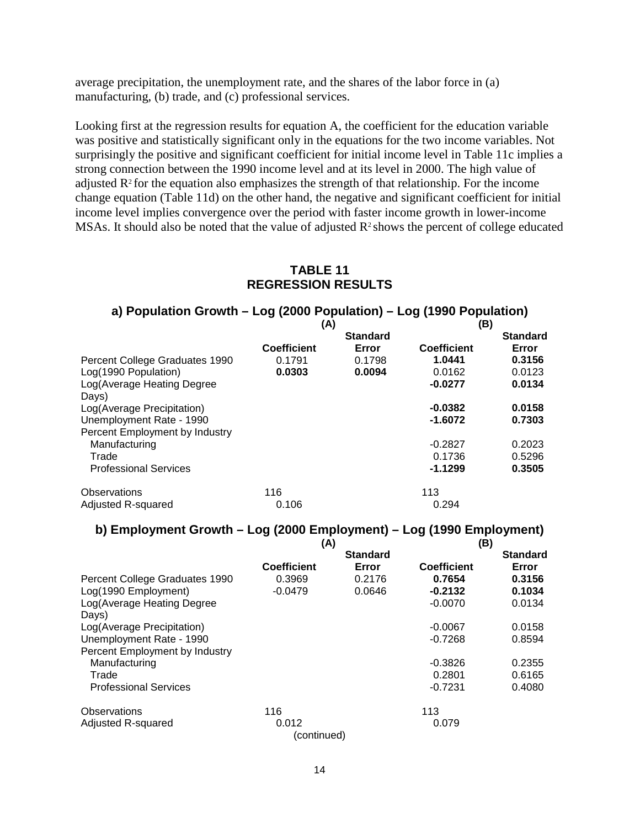average precipitation, the unemployment rate, and the shares of the labor force in (a) manufacturing, (b) trade, and (c) professional services.

Looking first at the regression results for equation A, the coefficient for the education variable was positive and statistically significant only in the equations for the two income variables. Not surprisingly the positive and significant coefficient for initial income level in Table 11c implies a strong connection between the 1990 income level and at its level in 2000. The high value of adjusted  $\mathbb{R}^2$  for the equation also emphasizes the strength of that relationship. For the income change equation (Table 11d) on the other hand, the negative and significant coefficient for initial income level implies convergence over the period with faster income growth in lower-income MSAs. It should also be noted that the value of adjusted  $R^2$  shows the percent of college educated

## **TABLE 11 REGRESSION RESULTS**

## **a) Population Growth – Log (2000 Population) – Log (1990 Population)**

|                                | (A)                |                 | (B)         |                 |
|--------------------------------|--------------------|-----------------|-------------|-----------------|
|                                |                    | <b>Standard</b> |             | <b>Standard</b> |
|                                | <b>Coefficient</b> | Error           | Coefficient | Error           |
| Percent College Graduates 1990 | 0.1791             | 0.1798          | 1.0441      | 0.3156          |
| Log(1990 Population)           | 0.0303             | 0.0094          | 0.0162      | 0.0123          |
| Log (Average Heating Degree    |                    |                 | $-0.0277$   | 0.0134          |
| Days)                          |                    |                 |             |                 |
| Log(Average Precipitation)     |                    |                 | $-0.0382$   | 0.0158          |
| Unemployment Rate - 1990       |                    |                 | $-1.6072$   | 0.7303          |
| Percent Employment by Industry |                    |                 |             |                 |
| Manufacturing                  |                    |                 | $-0.2827$   | 0.2023          |
| Trade                          |                    |                 | 0.1736      | 0.5296          |
| <b>Professional Services</b>   |                    |                 | $-1.1299$   | 0.3505          |
| Observations                   | 116                |                 | 113         |                 |
| Adjusted R-squared             | 0.106              |                 | 0.294       |                 |

## **b) Employment Growth – Log (2000 Employment) – Log (1990 Employment)**

|                                     | (A)                |                 | (B)                |                 |  |
|-------------------------------------|--------------------|-----------------|--------------------|-----------------|--|
|                                     |                    | <b>Standard</b> |                    | <b>Standard</b> |  |
|                                     | <b>Coefficient</b> | Error           | <b>Coefficient</b> | Error           |  |
| Percent College Graduates 1990      | 0.3969             | 0.2176          | 0.7654             | 0.3156          |  |
| Log(1990 Employment)                | $-0.0479$          | 0.0646          | $-0.2132$          | 0.1034          |  |
| Log(Average Heating Degree<br>Days) |                    |                 | $-0.0070$          | 0.0134          |  |
| Log(Average Precipitation)          |                    |                 | $-0.0067$          | 0.0158          |  |
| Unemployment Rate - 1990            |                    |                 | $-0.7268$          | 0.8594          |  |
| Percent Employment by Industry      |                    |                 |                    |                 |  |
| Manufacturing                       |                    |                 | $-0.3826$          | 0.2355          |  |
| Trade                               |                    |                 | 0.2801             | 0.6165          |  |
| <b>Professional Services</b>        |                    |                 | $-0.7231$          | 0.4080          |  |
| Observations                        | 116                |                 | 113                |                 |  |
| Adjusted R-squared                  | 0.012              |                 | 0.079              |                 |  |
|                                     | (continued)        |                 |                    |                 |  |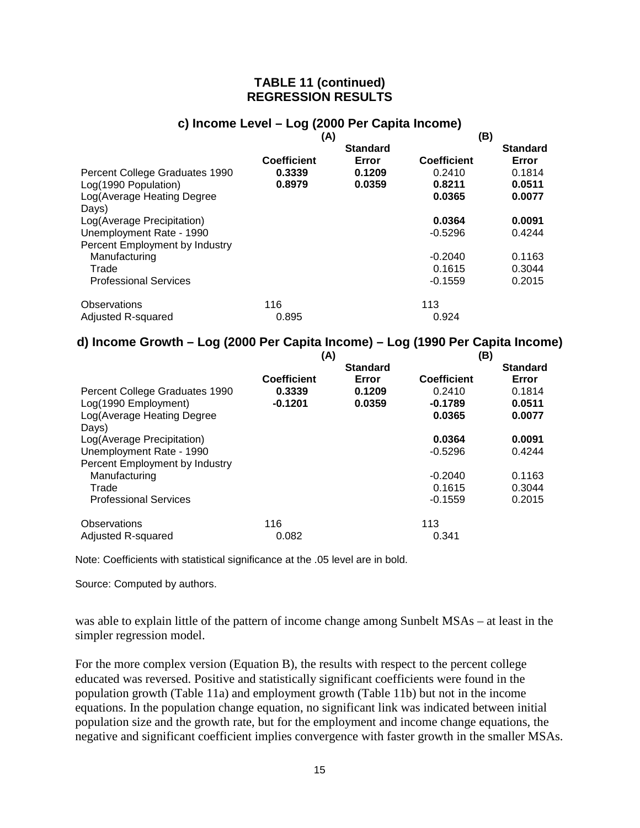## **TABLE 11 (continued) REGRESSION RESULTS**

# **c) Income Level – Log (2000 Per Capita Income)**

|                                | (A)                |                 | (B)                |                 |
|--------------------------------|--------------------|-----------------|--------------------|-----------------|
|                                |                    | <b>Standard</b> |                    | <b>Standard</b> |
|                                | <b>Coefficient</b> | Error           | <b>Coefficient</b> | Error           |
| Percent College Graduates 1990 | 0.3339             | 0.1209          | 0.2410             | 0.1814          |
| Log(1990 Population)           | 0.8979             | 0.0359          | 0.8211             | 0.0511          |
| Log (Average Heating Degree    |                    |                 | 0.0365             | 0.0077          |
| Days)                          |                    |                 |                    |                 |
| Log(Average Precipitation)     |                    |                 | 0.0364             | 0.0091          |
| Unemployment Rate - 1990       |                    |                 | $-0.5296$          | 0.4244          |
| Percent Employment by Industry |                    |                 |                    |                 |
| Manufacturing                  |                    |                 | $-0.2040$          | 0.1163          |
| Trade                          |                    |                 | 0.1615             | 0.3044          |
| <b>Professional Services</b>   |                    |                 | $-0.1559$          | 0.2015          |
| Observations                   | 116                |                 | 113                |                 |
| Adjusted R-squared             | 0.895              |                 | 0.924              |                 |

## **d) Income Growth – Log (2000 Per Capita Income) – Log (1990 Per Capita Income)**

|                                | (A)                |                 | (B)                |                 |
|--------------------------------|--------------------|-----------------|--------------------|-----------------|
|                                |                    | <b>Standard</b> |                    | <b>Standard</b> |
|                                | <b>Coefficient</b> | Error           | <b>Coefficient</b> | Error           |
| Percent College Graduates 1990 | 0.3339             | 0.1209          | 0.2410             | 0.1814          |
| Log(1990 Employment)           | $-0.1201$          | 0.0359          | $-0.1789$          | 0.0511          |
| Log(Average Heating Degree     |                    |                 | 0.0365             | 0.0077          |
| Days)                          |                    |                 |                    |                 |
| Log(Average Precipitation)     |                    |                 | 0.0364             | 0.0091          |
| Unemployment Rate - 1990       |                    |                 | $-0.5296$          | 0.4244          |
| Percent Employment by Industry |                    |                 |                    |                 |
| Manufacturing                  |                    |                 | $-0.2040$          | 0.1163          |
| Trade                          |                    |                 | 0.1615             | 0.3044          |
| <b>Professional Services</b>   |                    |                 | $-0.1559$          | 0.2015          |
| Observations                   | 116                |                 | 113                |                 |
| Adjusted R-squared             | 0.082              |                 | 0.341              |                 |

Note: Coefficients with statistical significance at the .05 level are in bold.

Source: Computed by authors.

was able to explain little of the pattern of income change among Sunbelt MSAs – at least in the simpler regression model.

For the more complex version (Equation B), the results with respect to the percent college educated was reversed. Positive and statistically significant coefficients were found in the population growth (Table 11a) and employment growth (Table 11b) but not in the income equations. In the population change equation, no significant link was indicated between initial population size and the growth rate, but for the employment and income change equations, the negative and significant coefficient implies convergence with faster growth in the smaller MSAs.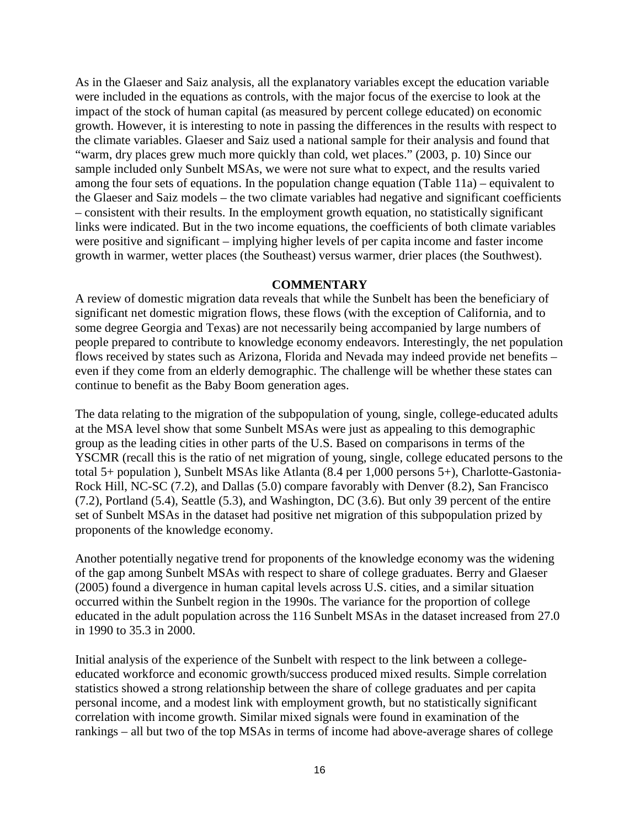As in the Glaeser and Saiz analysis, all the explanatory variables except the education variable were included in the equations as controls, with the major focus of the exercise to look at the impact of the stock of human capital (as measured by percent college educated) on economic growth. However, it is interesting to note in passing the differences in the results with respect to the climate variables. Glaeser and Saiz used a national sample for their analysis and found that "warm, dry places grew much more quickly than cold, wet places." (2003, p. 10) Since our sample included only Sunbelt MSAs, we were not sure what to expect, and the results varied among the four sets of equations. In the population change equation (Table 11a) – equivalent to the Glaeser and Saiz models – the two climate variables had negative and significant coefficients – consistent with their results. In the employment growth equation, no statistically significant links were indicated. But in the two income equations, the coefficients of both climate variables were positive and significant – implying higher levels of per capita income and faster income growth in warmer, wetter places (the Southeast) versus warmer, drier places (the Southwest).

#### **COMMENTARY**

A review of domestic migration data reveals that while the Sunbelt has been the beneficiary of significant net domestic migration flows, these flows (with the exception of California, and to some degree Georgia and Texas) are not necessarily being accompanied by large numbers of people prepared to contribute to knowledge economy endeavors. Interestingly, the net population flows received by states such as Arizona, Florida and Nevada may indeed provide net benefits – even if they come from an elderly demographic. The challenge will be whether these states can continue to benefit as the Baby Boom generation ages.

The data relating to the migration of the subpopulation of young, single, college-educated adults at the MSA level show that some Sunbelt MSAs were just as appealing to this demographic group as the leading cities in other parts of the U.S. Based on comparisons in terms of the YSCMR (recall this is the ratio of net migration of young, single, college educated persons to the total 5+ population ), Sunbelt MSAs like Atlanta (8.4 per 1,000 persons 5+), Charlotte-Gastonia-Rock Hill, NC-SC (7.2), and Dallas (5.0) compare favorably with Denver (8.2), San Francisco (7.2), Portland (5.4), Seattle (5.3), and Washington, DC (3.6). But only 39 percent of the entire set of Sunbelt MSAs in the dataset had positive net migration of this subpopulation prized by proponents of the knowledge economy.

Another potentially negative trend for proponents of the knowledge economy was the widening of the gap among Sunbelt MSAs with respect to share of college graduates. Berry and Glaeser (2005) found a divergence in human capital levels across U.S. cities, and a similar situation occurred within the Sunbelt region in the 1990s. The variance for the proportion of college educated in the adult population across the 116 Sunbelt MSAs in the dataset increased from 27.0 in 1990 to 35.3 in 2000.

Initial analysis of the experience of the Sunbelt with respect to the link between a collegeeducated workforce and economic growth/success produced mixed results. Simple correlation statistics showed a strong relationship between the share of college graduates and per capita personal income, and a modest link with employment growth, but no statistically significant correlation with income growth. Similar mixed signals were found in examination of the rankings – all but two of the top MSAs in terms of income had above-average shares of college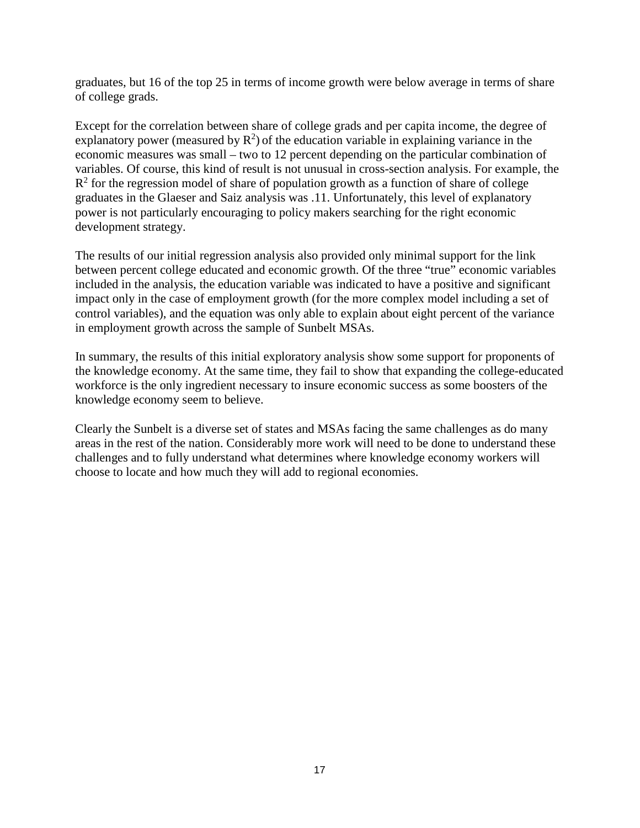graduates, but 16 of the top 25 in terms of income growth were below average in terms of share of college grads.

Except for the correlation between share of college grads and per capita income, the degree of explanatory power (measured by  $R^2$ ) of the education variable in explaining variance in the economic measures was small – two to 12 percent depending on the particular combination of variables. Of course, this kind of result is not unusual in cross-section analysis. For example, the  $R<sup>2</sup>$  for the regression model of share of population growth as a function of share of college graduates in the Glaeser and Saiz analysis was .11. Unfortunately, this level of explanatory power is not particularly encouraging to policy makers searching for the right economic development strategy.

The results of our initial regression analysis also provided only minimal support for the link between percent college educated and economic growth. Of the three "true" economic variables included in the analysis, the education variable was indicated to have a positive and significant impact only in the case of employment growth (for the more complex model including a set of control variables), and the equation was only able to explain about eight percent of the variance in employment growth across the sample of Sunbelt MSAs.

In summary, the results of this initial exploratory analysis show some support for proponents of the knowledge economy. At the same time, they fail to show that expanding the college-educated workforce is the only ingredient necessary to insure economic success as some boosters of the knowledge economy seem to believe.

Clearly the Sunbelt is a diverse set of states and MSAs facing the same challenges as do many areas in the rest of the nation. Considerably more work will need to be done to understand these challenges and to fully understand what determines where knowledge economy workers will choose to locate and how much they will add to regional economies.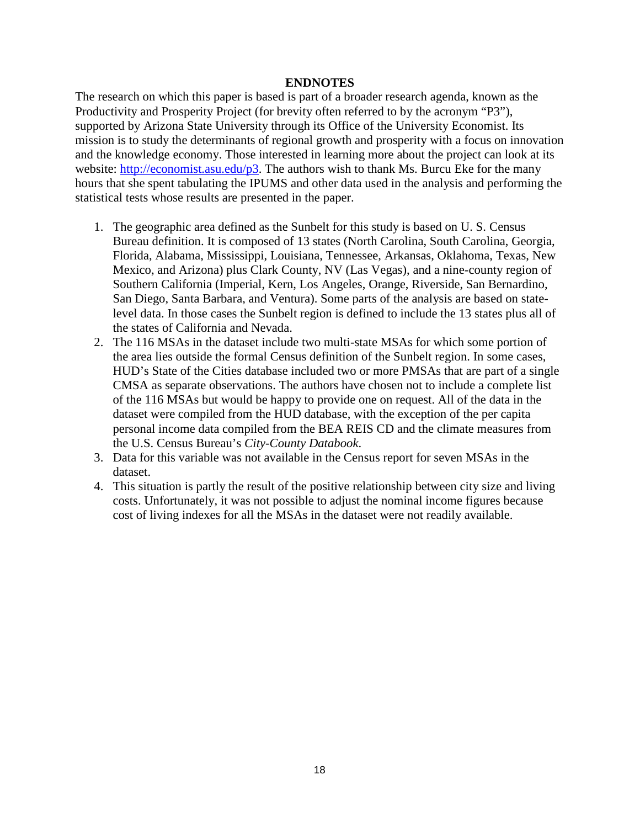#### **ENDNOTES**

The research on which this paper is based is part of a broader research agenda, known as the Productivity and Prosperity Project (for brevity often referred to by the acronym "P3"), supported by Arizona State University through its Office of the University Economist. Its mission is to study the determinants of regional growth and prosperity with a focus on innovation and the knowledge economy. Those interested in learning more about the project can look at its website: [http://economist.asu.edu/p3.](http://economist.asu.edu/p3) The authors wish to thank Ms. Burcu Eke for the many hours that she spent tabulating the IPUMS and other data used in the analysis and performing the statistical tests whose results are presented in the paper.

- 1. The geographic area defined as the Sunbelt for this study is based on U. S. Census Bureau definition. It is composed of 13 states (North Carolina, South Carolina, Georgia, Florida, Alabama, Mississippi, Louisiana, Tennessee, Arkansas, Oklahoma, Texas, New Mexico, and Arizona) plus Clark County, NV (Las Vegas), and a nine-county region of Southern California (Imperial, Kern, Los Angeles, Orange, Riverside, San Bernardino, San Diego, Santa Barbara, and Ventura). Some parts of the analysis are based on statelevel data. In those cases the Sunbelt region is defined to include the 13 states plus all of the states of California and Nevada.
- 2. The 116 MSAs in the dataset include two multi-state MSAs for which some portion of the area lies outside the formal Census definition of the Sunbelt region. In some cases, HUD's State of the Cities database included two or more PMSAs that are part of a single CMSA as separate observations. The authors have chosen not to include a complete list of the 116 MSAs but would be happy to provide one on request. All of the data in the dataset were compiled from the HUD database, with the exception of the per capita personal income data compiled from the BEA REIS CD and the climate measures from the U.S. Census Bureau's *City-County Databook*.
- 3. Data for this variable was not available in the Census report for seven MSAs in the dataset.
- 4. This situation is partly the result of the positive relationship between city size and living costs. Unfortunately, it was not possible to adjust the nominal income figures because cost of living indexes for all the MSAs in the dataset were not readily available.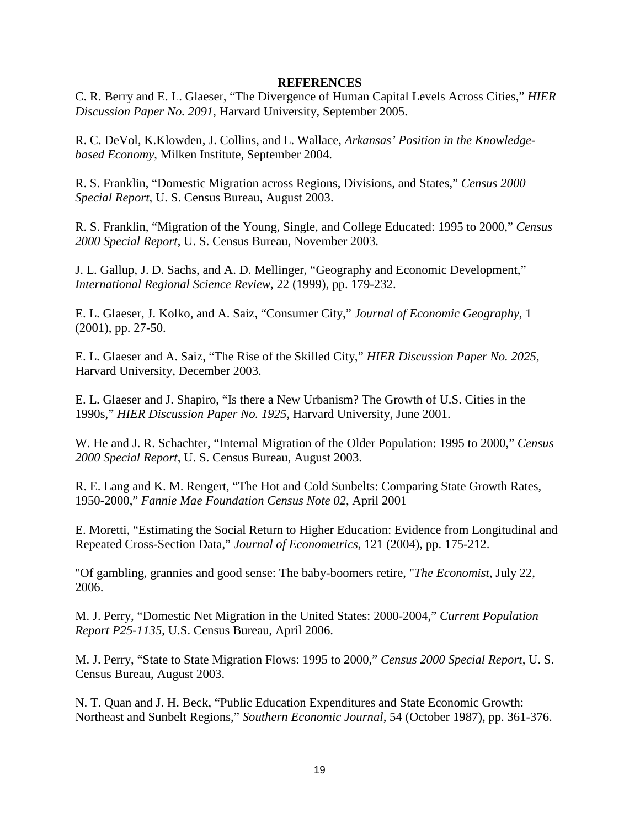#### **REFERENCES**

C. R. Berry and E. L. Glaeser, "The Divergence of Human Capital Levels Across Cities," *HIER Discussion Paper No. 2091*, Harvard University, September 2005.

R. C. DeVol, K.Klowden, J. Collins, and L. Wallace, *Arkansas' Position in the Knowledgebased Economy*, Milken Institute, September 2004.

R. S. Franklin, "Domestic Migration across Regions, Divisions, and States," *Census 2000 Special Report,* U. S. Census Bureau, August 2003.

R. S. Franklin, "Migration of the Young, Single, and College Educated: 1995 to 2000," *Census 2000 Special Report*, U. S. Census Bureau, November 2003.

J. L. Gallup, J. D. Sachs, and A. D. Mellinger, "Geography and Economic Development," *International Regional Science Review*, 22 (1999), pp. 179-232.

E. L. Glaeser, J. Kolko, and A. Saiz, "Consumer City," *Journal of Economic Geography*, 1 (2001), pp. 27-50.

E. L. Glaeser and A. Saiz, "The Rise of the Skilled City," *HIER Discussion Paper No. 2025,* Harvard University, December 2003.

E. L. Glaeser and J. Shapiro, "Is there a New Urbanism? The Growth of U.S. Cities in the 1990s," *HIER Discussion Paper No. 1925*, Harvard University, June 2001.

W. He and J. R. Schachter, "Internal Migration of the Older Population: 1995 to 2000," *Census 2000 Special Report*, U. S. Census Bureau, August 2003.

R. E. Lang and K. M. Rengert, "The Hot and Cold Sunbelts: Comparing State Growth Rates, 1950-2000," *Fannie Mae Foundation Census Note 02*, April 2001

E. Moretti, "Estimating the Social Return to Higher Education: Evidence from Longitudinal and Repeated Cross-Section Data," *Journal of Econometrics*, 121 (2004), pp. 175-212.

"Of gambling, grannies and good sense: The baby-boomers retire, "*The Economist*, July 22, 2006.

M. J. Perry, "Domestic Net Migration in the United States: 2000-2004," *Current Population Report P25-1135*, U.S. Census Bureau, April 2006.

M. J. Perry, "State to State Migration Flows: 1995 to 2000," *Census 2000 Special Report*, U. S. Census Bureau, August 2003.

N. T. Quan and J. H. Beck, "Public Education Expenditures and State Economic Growth: Northeast and Sunbelt Regions," *Southern Economic Journal*, 54 (October 1987), pp. 361-376.